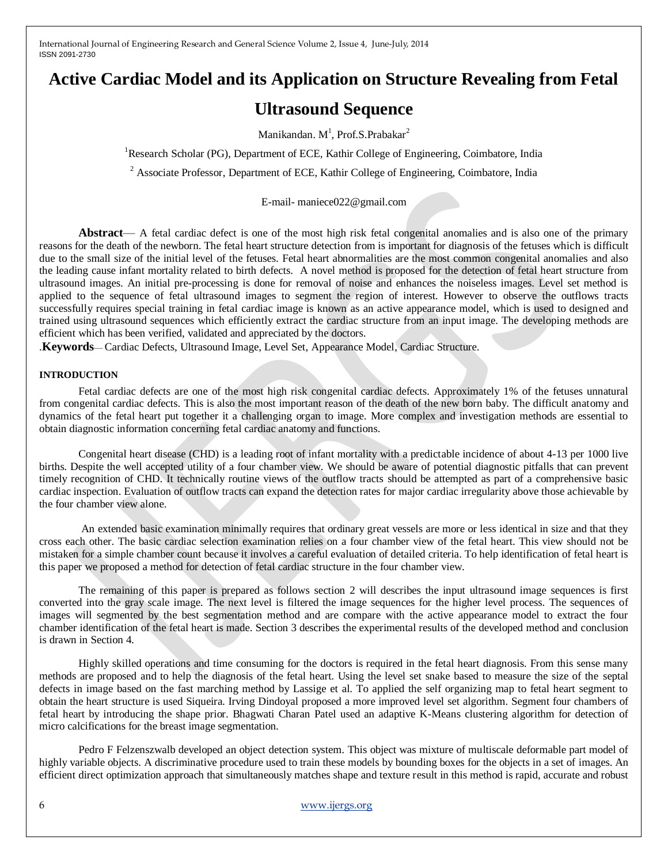# **Active Cardiac Model and its Application on Structure Revealing from Fetal**

# **Ultrasound Sequence**

Manikandan.  $M^1$ , Prof.S.Prabakar $^2$ 

<sup>1</sup>Research Scholar (PG), Department of ECE, Kathir College of Engineering, Coimbatore, India

<sup>2</sup> Associate Professor, Department of ECE, Kathir College of Engineering, Coimbatore, India

E-mail- maniece022@gmail.com

**Abstract**— A fetal cardiac defect is one of the most high risk fetal congenital anomalies and is also one of the primary reasons for the death of the newborn. The fetal heart structure detection from is important for diagnosis of the fetuses which is difficult due to the small size of the initial level of the fetuses. Fetal heart abnormalities are the most common congenital anomalies and also the leading cause infant mortality related to birth defects. A novel method is proposed for the detection of fetal heart structure from ultrasound images. An initial pre-processing is done for removal of noise and enhances the noiseless images. Level set method is applied to the sequence of fetal ultrasound images to segment the region of interest. However to observe the outflows tracts successfully requires special training in fetal cardiac image is known as an active appearance model, which is used to designed and trained using ultrasound sequences which efficiently extract the cardiac structure from an input image. The developing methods are efficient which has been verified, validated and appreciated by the doctors.

.**Keywords**— Cardiac Defects, Ultrasound Image, Level Set, Appearance Model, Cardiac Structure.

### **INTRODUCTION**

Fetal cardiac defects are one of the most high risk congenital cardiac defects. Approximately 1% of the fetuses unnatural from congenital cardiac defects. This is also the most important reason of the death of the new born baby. The difficult anatomy and dynamics of the fetal heart put together it a challenging organ to image. More complex and investigation methods are essential to obtain diagnostic information concerning fetal cardiac anatomy and functions.

Congenital heart disease (CHD) is a leading root of infant mortality with a predictable incidence of about 4-13 per 1000 live births. Despite the well accepted utility of a four chamber view. We should be aware of potential diagnostic pitfalls that can prevent timely recognition of CHD. It technically routine views of the outflow tracts should be attempted as part of a comprehensive basic cardiac inspection. Evaluation of outflow tracts can expand the detection rates for major cardiac irregularity above those achievable by the four chamber view alone.

An extended basic examination minimally requires that ordinary great vessels are more or less identical in size and that they cross each other. The basic cardiac selection examination relies on a four chamber view of the fetal heart. This view should not be mistaken for a simple chamber count because it involves a careful evaluation of detailed criteria. To help identification of fetal heart is this paper we proposed a method for detection of fetal cardiac structure in the four chamber view.

The remaining of this paper is prepared as follows section 2 will describes the input ultrasound image sequences is first converted into the gray scale image. The next level is filtered the image sequences for the higher level process. The sequences of images will segmented by the best segmentation method and are compare with the active appearance model to extract the four chamber identification of the fetal heart is made. Section 3 describes the experimental results of the developed method and conclusion is drawn in Section 4.

Highly skilled operations and time consuming for the doctors is required in the fetal heart diagnosis. From this sense many methods are proposed and to help the diagnosis of the fetal heart. Using the level set snake based to measure the size of the septal defects in image based on the fast marching method by Lassige et al. To applied the self organizing map to fetal heart segment to obtain the heart structure is used Siqueira. Irving Dindoyal proposed a more improved level set algorithm. Segment four chambers of fetal heart by introducing the shape prior. Bhagwati Charan Patel used an adaptive K-Means clustering algorithm for detection of micro calcifications for the breast image segmentation.

Pedro F Felzenszwalb developed an object detection system. This object was mixture of multiscale deformable part model of highly variable objects. A discriminative procedure used to train these models by bounding boxes for the objects in a set of images. An efficient direct optimization approach that simultaneously matches shape and texture result in this method is rapid, accurate and robust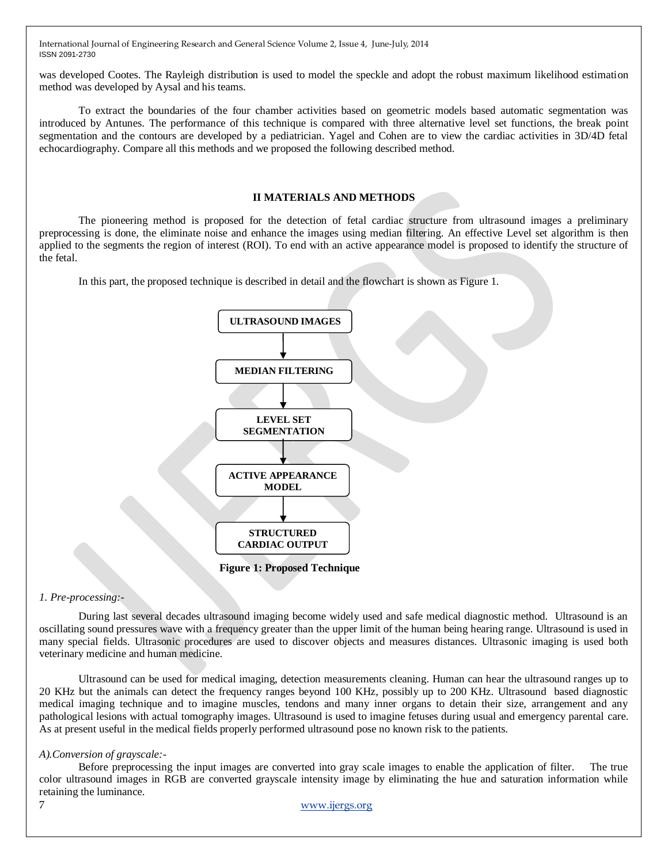was developed Cootes. The Rayleigh distribution is used to model the speckle and adopt the robust maximum likelihood estimation method was developed by Aysal and his teams.

To extract the boundaries of the four chamber activities based on geometric models based automatic segmentation was introduced by Antunes. The performance of this technique is compared with three alternative level set functions, the break point segmentation and the contours are developed by a pediatrician. Yagel and Cohen are to view the cardiac activities in 3D/4D fetal echocardiography. Compare all this methods and we proposed the following described method.

## **II MATERIALS AND METHODS**

The pioneering method is proposed for the detection of fetal cardiac structure from ultrasound images a preliminary preprocessing is done, the eliminate noise and enhance the images using median filtering. An effective Level set algorithm is then applied to the segments the region of interest (ROI). To end with an active appearance model is proposed to identify the structure of the fetal.

In this part, the proposed technique is described in detail and the flowchart is shown as Figure 1.



*1. Pre-processing:-*

During last several decades ultrasound imaging become widely used and safe medical diagnostic method. Ultrasound is an oscillating sound pressures wave with a frequency greater than the upper limit of the human being hearing range. Ultrasound is used in many special fields. Ultrasonic procedures are used to discover objects and measures distances. Ultrasonic imaging is used both veterinary medicine and human medicine.

Ultrasound can be used for medical imaging, detection measurements cleaning. Human can hear the ultrasound ranges up to 20 KHz but the animals can detect the frequency ranges beyond 100 KHz, possibly up to 200 KHz. Ultrasound based diagnostic medical imaging technique and to imagine muscles, tendons and many inner organs to detain their size, arrangement and any pathological lesions with actual tomography images. Ultrasound is used to imagine fetuses during usual and emergency parental care. As at present useful in the medical fields properly performed ultrasound pose no known risk to the patients.

### *A).Conversion of grayscale:-*

Before preprocessing the input images are converted into gray scale images to enable the application of filter. The true color ultrasound images in RGB are converted grayscale intensity image by eliminating the hue and saturation information while retaining the luminance.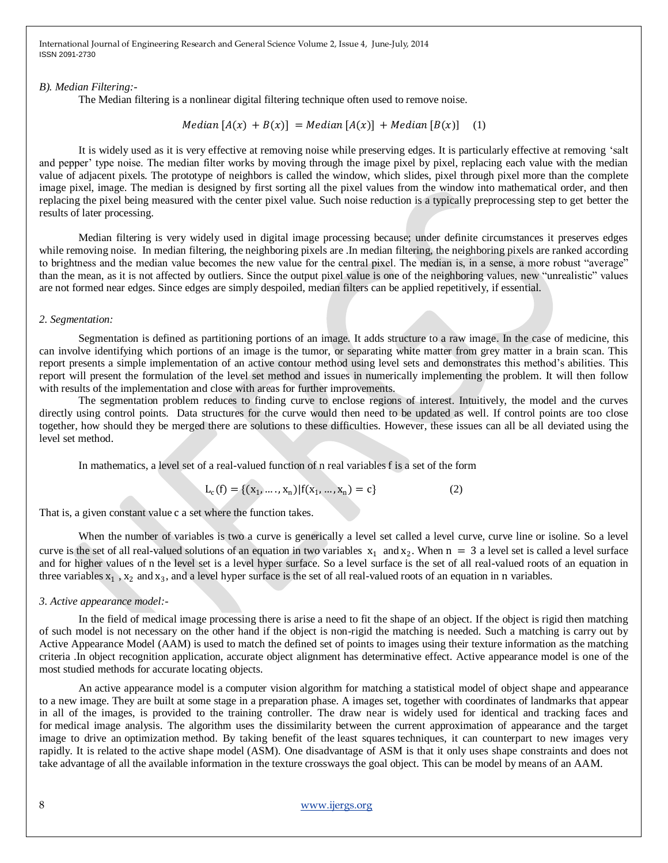*B). Median Filtering:-*

The Median filtering is a nonlinear digital filtering technique often used to remove noise.

 $Median [A(x) + B(x)] = Median [A(x)] + Median [B(x)]$  (1)

It is widely used as it is very effective at removing noise while preserving edges. It is particularly effective at removing 'salt and pepper' type noise. The median filter works by moving through the image pixel by pixel, replacing each value with the median value of adjacent pixels. The prototype of neighbors is called the window, which slides, pixel through pixel more than the complete image pixel, image. The median is designed by first sorting all the pixel values from the window into mathematical order, and then replacing the pixel being measured with the center pixel value. Such noise reduction is a typically preprocessing step to get better the results of later processing.

Median filtering is very widely used in digital image processing because; under definite circumstances it preserves edges while removing noise. In median filtering, the neighboring pixels are .In median filtering, the neighboring pixels are ranked according to brightness and the median value becomes the new value for the central pixel. The median is, in a sense, a more robust "average" than the mean, as it is not affected by outliers. Since the output pixel value is one of the neighboring values, new "unrealistic" values are not formed near edges. Since edges are simply despoiled, median filters can be applied repetitively, if essential.

#### *2. Segmentation:*

Segmentation is defined as partitioning portions of an image. It adds structure to a raw image. In the case of medicine, this can involve identifying which portions of an image is the tumor, or separating white matter from grey matter in a brain scan. This report presents a simple implementation of an active contour method using level sets and demonstrates this method's abilities. This report will present the formulation of the level set method and issues in numerically implementing the problem. It will then follow with results of the implementation and close with areas for further improvements.

The segmentation problem reduces to finding curve to enclose regions of interest. Intuitively, the model and the curves directly using control points. Data structures for the curve would then need to be updated as well. If control points are too close together, how should they be merged there are solutions to these difficulties. However, these issues can all be all deviated using the level set method.

In [mathematics,](http://en.wikipedia.org/wiki/Mathematics) a level set of a [real-](http://en.wikipedia.org/wiki/Real_number)valued function of n [real variables](http://en.wikipedia.org/wiki/Function_of_several_real_variables) f is a set of the form

$$
L_c(f) = \{(x_1, \dots, x_n) | f(x_1, \dots, x_n) = c\}
$$
 (2)

That is, a given constant value c a set where the function takes.

When the number of variables is two a curve is generically a level set called a level curve, curve line or isoline. So a level curve is the set of all real-valued solutions of an equation in two variables  $x_1$  and  $x_2$ . When  $n = 3$  a level set is called a level surface and for higher values of n the level set is a level hyper surface. So a level surface is the set of all real-valued roots of an equation in three variables  $x_1$ ,  $x_2$  and  $x_3$ , and a level hyper surface is the set of all real-valued roots of an equation in n variables.

#### *3. Active appearance model:-*

In the field of medical image processing there is arise a need to fit the shape of an object. If the object is rigid then matching of such model is not necessary on the other hand if the object is non-rigid the matching is needed. Such a matching is carry out by Active Appearance Model (AAM) is used to match the defined set of points to images using their texture information as the matching criteria .In object recognition application, accurate object alignment has determinative effect. Active appearance model is one of the most studied methods for accurate locating objects.

An active appearance model is a [computer vision](http://en.wikipedia.org/wiki/Computer_vision) algorithm for matching a [statistical model](http://en.wikipedia.org/wiki/Statistical_model) of object shape and appearance to a new image. They are built at some stage in a preparation phase. A images set, together with coordinates of landmarks that appear in all of the images, is provided to the training controller. The draw near is widely used for identical and tracking faces and for medical image analysis. The algorithm uses the dissimilarity between the current approximation of appearance and the target image to drive an optimization method. By taking benefit of the [least squares](http://en.wikipedia.org/wiki/Least_squares) techniques, it can counterpart to new images very rapidly. It is related to the [active shape model](http://en.wikipedia.org/wiki/Active_shape_model) (ASM). One disadvantage of ASM is that it only uses shape constraints and does not take advantage of all the available information in the texture crossways the goal object. This can be model by means of an AAM.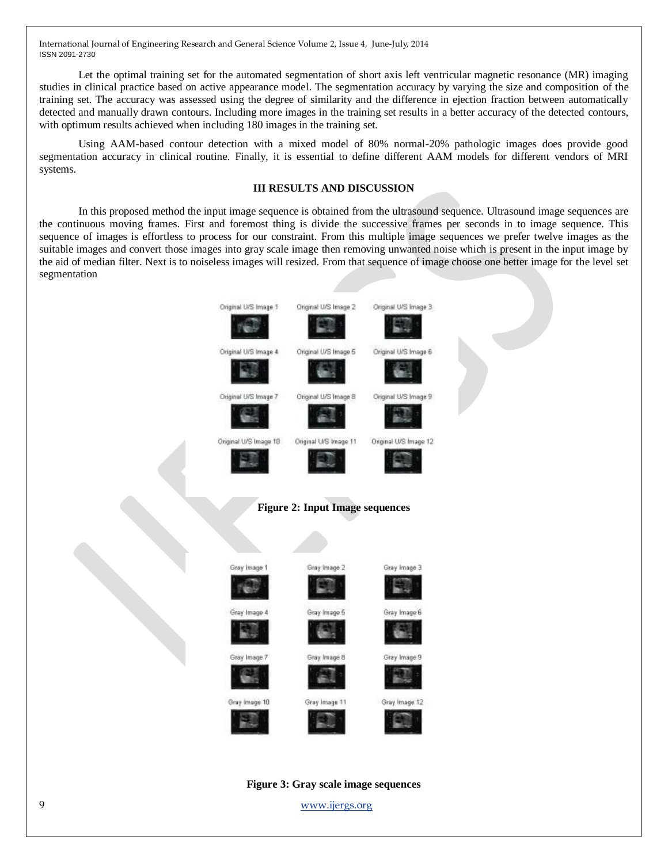Let the optimal training set for the automated segmentation of short axis left ventricular magnetic resonance (MR) imaging studies in clinical practice based on active appearance model. The segmentation accuracy by varying the size and composition of the training set. The accuracy was assessed using the degree of similarity and the difference in ejection fraction between automatically detected and manually drawn contours. Including more images in the training set results in a better accuracy of the detected contours, with optimum results achieved when including 180 images in the training set.

Using AAM-based contour detection with a mixed model of 80% normal-20% pathologic images does provide good segmentation accuracy in clinical routine. Finally, it is essential to define different AAM models for different vendors of MRI systems.

# **III RESULTS AND DISCUSSION**

In this proposed method the input image sequence is obtained from the ultrasound sequence. Ultrasound image sequences are the continuous moving frames. First and foremost thing is divide the successive frames per seconds in to image sequence. This sequence of images is effortless to process for our constraint. From this multiple image sequences we prefer twelve images as the suitable images and convert those images into gray scale image then removing unwanted noise which is present in the input image by the aid of median filter. Next is to noiseless images will resized. From that sequence of image choose one better image for the level set segmentation



9 [www.ijergs.org](http://www.ijergs.org/)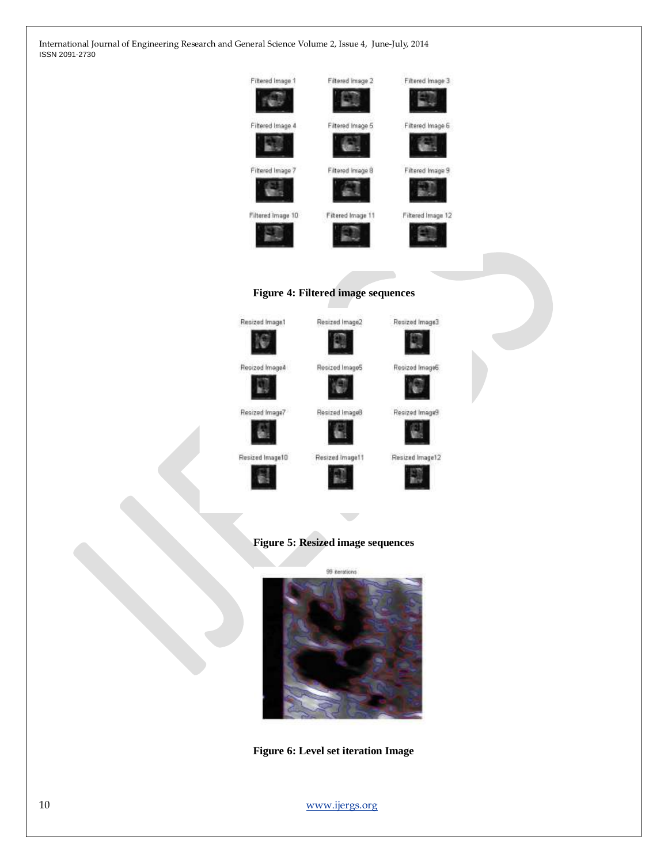

Resized Image4 Resized ImageS œ Resized Image7 Resized ImageB Resized Image10 Resized Image11



Resized Image12

# **Figure 5: Resized image sequences**

G.



**Figure 6: Level set iteration Image** 

10 [www.ijergs.org](http://www.ijergs.org/)